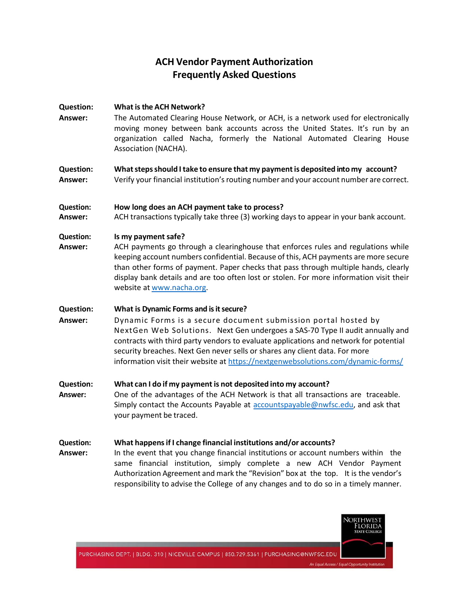# **ACH Vendor Payment Authorization Frequently Asked Questions**

#### **Question: What isthe ACH Network?**

**Answer:** The Automated Clearing House Network, or ACH, is a network used for electronically moving money between bank accounts across the United States. It's run by an organization called Nacha, formerly the National Automated Clearing House Association (NACHA).

#### **Question: Whatstepsshould Itake to ensure that my paymentis deposited into my account? Answer:** Verify your financial institution's routing number and your account number are correct.

## **Question: How long does an ACH payment take to process?**

**Answer:** ACH transactions typically take three (3) working days to appear in your bank account.

## **Question: Is my paymentsafe?**

**Answer:** ACH payments go through a clearinghouse that enforces rules and regulations while keeping account numbers confidential. Because of this, ACH payments are more secure than other forms of payment. Paper checks that pass through multiple hands, clearly display bank details and are too often lost or stolen. For more information visit their website at [www.nacha.org.](http://www.nacha.org/)

## **Question: What is Dynamic Forms and is it secure?**

- **Answer:** Dynamic Forms is a secure document submission portal hosted by NextGen Web Solutions.Next Gen undergoes a SAS-70 Type II audit annually and contracts with third party vendors to evaluate applications and network for potential security breaches. Next Gen never sells or shares any client data. For more information visit their website at<https://nextgenwebsolutions.com/dynamic-forms/>
- **Question: What can I do if my payment is not deposited into my account? Answer:** One of the advantages of the ACH Network is that all transactions are traceable. Simply contact the Accounts Payable at [accountspayable@nwfsc.edu,](mailto:accountspayable@nwfsc.edu) and ask that your payment be traced.

#### **Question: What happensif I change financial institutions and/or accounts?**

**Answer:** In the event that you change financial institutions or account numbers within the same financial institution, simply complete a new ACH Vendor Payment Authorization Agreement and mark the "Revision" box at the top. It is the vendor's responsibility to advise the College of any changes and to do so in a timely manner.



PURCHASING DEPT. | BLDG. 310 | NICEVILLE CAMPUS | 850.729.5361 | PURCHASING@NWFSC.EDU